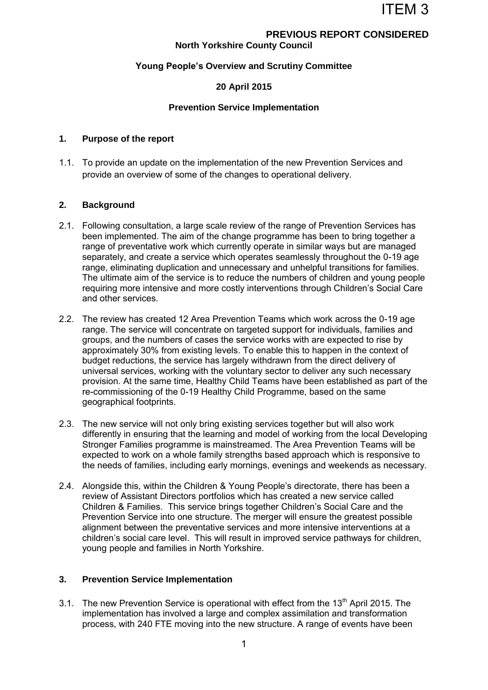# **PREVIOUS REPORT CONSIDERED**

## **North Yorkshire County Council**

### **Young People's Overview and Scrutiny Committee**

### **20 April 2015**

#### **Prevention Service Implementation**

### **1. Purpose of the report**

1.1. To provide an update on the implementation of the new Prevention Services and provide an overview of some of the changes to operational delivery.

#### **2. Background**

- 2.1. Following consultation, a large scale review of the range of Prevention Services has been implemented. The aim of the change programme has been to bring together a range of preventative work which currently operate in similar ways but are managed separately, and create a service which operates seamlessly throughout the 0-19 age range, eliminating duplication and unnecessary and unhelpful transitions for families. The ultimate aim of the service is to reduce the numbers of children and young people requiring more intensive and more costly interventions through Children's Social Care and other services.
- 2.2. The review has created 12 Area Prevention Teams which work across the 0-19 age range. The service will concentrate on targeted support for individuals, families and groups, and the numbers of cases the service works with are expected to rise by approximately 30% from existing levels. To enable this to happen in the context of budget reductions, the service has largely withdrawn from the direct delivery of universal services, working with the voluntary sector to deliver any such necessary provision. At the same time, Healthy Child Teams have been established as part of the re-commissioning of the 0-19 Healthy Child Programme, based on the same geographical footprints.
- 2.3. The new service will not only bring existing services together but will also work differently in ensuring that the learning and model of working from the local Developing Stronger Families programme is mainstreamed. The Area Prevention Teams will be expected to work on a whole family strengths based approach which is responsive to the needs of families, including early mornings, evenings and weekends as necessary.
- 2.4. Alongside this, within the Children & Young People's directorate, there has been a review of Assistant Directors portfolios which has created a new service called Children & Families. This service brings together Children's Social Care and the Prevention Service into one structure. The merger will ensure the greatest possible alignment between the preventative services and more intensive interventions at a children's social care level. This will result in improved service pathways for children, young people and families in North Yorkshire.

### **3. Prevention Service Implementation**

3.1. The new Prevention Service is operational with effect from the  $13<sup>th</sup>$  April 2015. The implementation has involved a large and complex assimilation and transformation process, with 240 FTE moving into the new structure. A range of events have been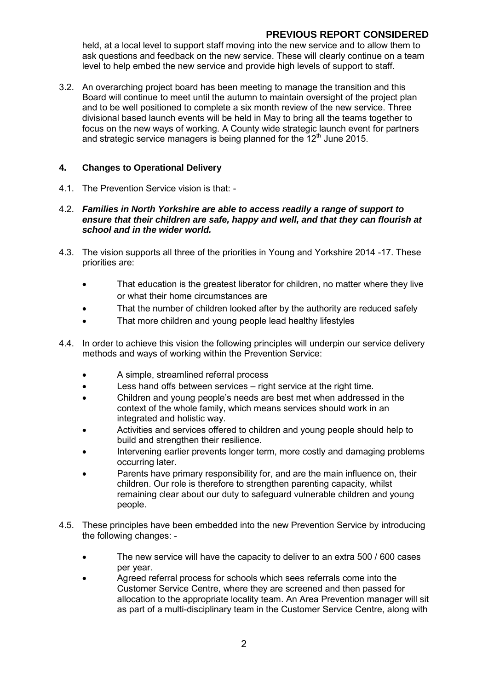## **PREVIOUS REPORT CONSIDERED**

held, at a local level to support staff moving into the new service and to allow them to ask questions and feedback on the new service. These will clearly continue on a team level to help embed the new service and provide high levels of support to staff.

3.2. An overarching project board has been meeting to manage the transition and this Board will continue to meet until the autumn to maintain oversight of the project plan and to be well positioned to complete a six month review of the new service. Three divisional based launch events will be held in May to bring all the teams together to focus on the new ways of working. A County wide strategic launch event for partners and strategic service managers is being planned for the  $12<sup>th</sup>$  June 2015.

## **4. Changes to Operational Delivery**

- 4.1. The Prevention Service vision is that: -
- 4.2. *Families in North Yorkshire are able to access readily a range of support to ensure that their children are safe, happy and well, and that they can flourish at school and in the wider world.*
- 4.3. The vision supports all three of the priorities in Young and Yorkshire 2014 -17. These priorities are:
	- That education is the greatest liberator for children, no matter where they live or what their home circumstances are
	- That the number of children looked after by the authority are reduced safely
	- That more children and young people lead healthy lifestyles
- 4.4. In order to achieve this vision the following principles will underpin our service delivery methods and ways of working within the Prevention Service:
	- A simple, streamlined referral process
	- Less hand offs between services right service at the right time.
	- Children and young people's needs are best met when addressed in the context of the whole family, which means services should work in an integrated and holistic way.
	- Activities and services offered to children and young people should help to build and strengthen their resilience.
	- Intervening earlier prevents longer term, more costly and damaging problems occurring later.
	- Parents have primary responsibility for, and are the main influence on, their children. Our role is therefore to strengthen parenting capacity, whilst remaining clear about our duty to safeguard vulnerable children and young people.
- 4.5. These principles have been embedded into the new Prevention Service by introducing the following changes: -
	- The new service will have the capacity to deliver to an extra 500 / 600 cases per year.
	- Agreed referral process for schools which sees referrals come into the Customer Service Centre, where they are screened and then passed for allocation to the appropriate locality team. An Area Prevention manager will sit as part of a multi-disciplinary team in the Customer Service Centre, along with